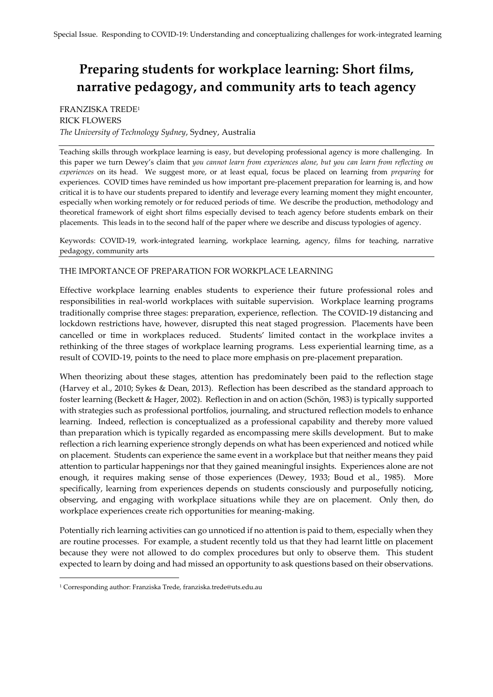# **Preparing students for workplace learning: Short films, narrative pedagogy, and community arts to teach agency**

## FRANZISKA TREDE<sup>1</sup> RICK FLOWERS *The University of Technology Sydney*, Sydney, Australia

Teaching skills through workplace learning is easy, but developing professional agency is more challenging. In this paper we turn Dewey's claim that *you cannot learn from experiences alone, but you can learn from reflecting on experiences* on its head. We suggest more, or at least equal, focus be placed on learning from *preparing* for experiences. COVID times have reminded us how important pre-placement preparation for learning is, and how critical it is to have our students prepared to identify and leverage every learning moment they might encounter, especially when working remotely or for reduced periods of time. We describe the production, methodology and theoretical framework of eight short films especially devised to teach agency before students embark on their placements. This leads in to the second half of the paper where we describe and discuss typologies of agency.

Keywords: COVID-19, work-integrated learning, workplace learning, agency, films for teaching, narrative pedagogy, community arts

## THE IMPORTANCE OF PREPARATION FOR WORKPLACE LEARNING

Effective workplace learning enables students to experience their future professional roles and responsibilities in real-world workplaces with suitable supervision. Workplace learning programs traditionally comprise three stages: preparation, experience, reflection. The COVID-19 distancing and lockdown restrictions have, however, disrupted this neat staged progression. Placements have been cancelled or time in workplaces reduced. Students' limited contact in the workplace invites a rethinking of the three stages of workplace learning programs. Less experiential learning time, as a result of COVID-19, points to the need to place more emphasis on pre-placement preparation.

When theorizing about these stages, attention has predominately been paid to the reflection stage (Harvey et al., 2010; Sykes & Dean, 2013). Reflection has been described as the standard approach to foster learning (Beckett & Hager, 2002). Reflection in and on action (Schön, 1983) is typically supported with strategies such as professional portfolios, journaling, and structured reflection models to enhance learning. Indeed, reflection is conceptualized as a professional capability and thereby more valued than preparation which is typically regarded as encompassing mere skills development. But to make reflection a rich learning experience strongly depends on what has been experienced and noticed while on placement. Students can experience the same event in a workplace but that neither means they paid attention to particular happenings nor that they gained meaningful insights. Experiences alone are not enough, it requires making sense of those experiences (Dewey, 1933; Boud et al., 1985). More specifically, learning from experiences depends on students consciously and purposefully noticing, observing, and engaging with workplace situations while they are on placement. Only then, do workplace experiences create rich opportunities for meaning-making.

Potentially rich learning activities can go unnoticed if no attention is paid to them, especially when they are routine processes. For example, a student recently told us that they had learnt little on placement because they were not allowed to do complex procedures but only to observe them. This student expected to learn by doing and had missed an opportunity to ask questions based on their observations.

 $\overline{a}$ 

<sup>1</sup> Corresponding author: Franziska Trede, franziska.trede@uts.edu.au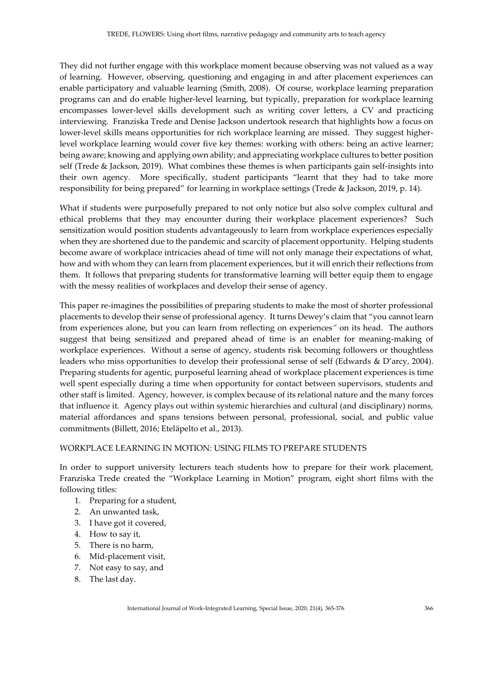They did not further engage with this workplace moment because observing was not valued as a way of learning. However, observing, questioning and engaging in and after placement experiences can enable participatory and valuable learning (Smith, 2008). Of course, workplace learning preparation programs can and do enable higher-level learning, but typically, preparation for workplace learning encompasses lower-level skills development such as writing cover letters, a CV and practicing interviewing. Franziska Trede and Denise Jackson undertook research that highlights how a focus on lower-level skills means opportunities for rich workplace learning are missed. They suggest higherlevel workplace learning would cover five key themes: working with others: being an active learner; being aware; knowing and applying own ability; and appreciating workplace cultures to better position self (Trede & Jackson, 2019). What combines these themes is when participants gain self-insights into their own agency. More specifically, student participants "learnt that they had to take more responsibility for being prepared" for learning in workplace settings (Trede & Jackson, 2019, p. 14).

What if students were purposefully prepared to not only notice but also solve complex cultural and ethical problems that they may encounter during their workplace placement experiences? Such sensitization would position students advantageously to learn from workplace experiences especially when they are shortened due to the pandemic and scarcity of placement opportunity. Helping students become aware of workplace intricacies ahead of time will not only manage their expectations of what, how and with whom they can learn from placement experiences, but it will enrich their reflections from them. It follows that preparing students for transformative learning will better equip them to engage with the messy realities of workplaces and develop their sense of agency.

This paper re-imagines the possibilities of preparing students to make the most of shorter professional placements to develop their sense of professional agency. It turns Dewey's claim that "you cannot learn from experiences alone, but you can learn from reflecting on experiences*"* on its head. The authors suggest that being sensitized and prepared ahead of time is an enabler for meaning-making of workplace experiences. Without a sense of agency, students risk becoming followers or thoughtless leaders who miss opportunities to develop their professional sense of self (Edwards & D'arcy, 2004). Preparing students for agentic, purposeful learning ahead of workplace placement experiences is time well spent especially during a time when opportunity for contact between supervisors, students and other staff is limited. Agency, however, is complex because of its relational nature and the many forces that influence it. Agency plays out within systemic hierarchies and cultural (and disciplinary) norms, material affordances and spans tensions between personal, professional, social, and public value commitments (Billett, 2016; Eteläpelto et al., 2013).

## WORKPLACE LEARNING IN MOTION: USING FILMS TO PREPARE STUDENTS

In order to support university lecturers teach students how to prepare for their work placement, Franziska Trede created the "Workplace Learning in Motion" program, eight short films with the following titles:

- 1. Preparing for a student,
- 2. An unwanted task,
- 3. I have got it covered,
- 4. How to say it,
- 5. There is no harm,
- 6. Mid-placement visit,
- 7. Not easy to say, and
- 8. The last day.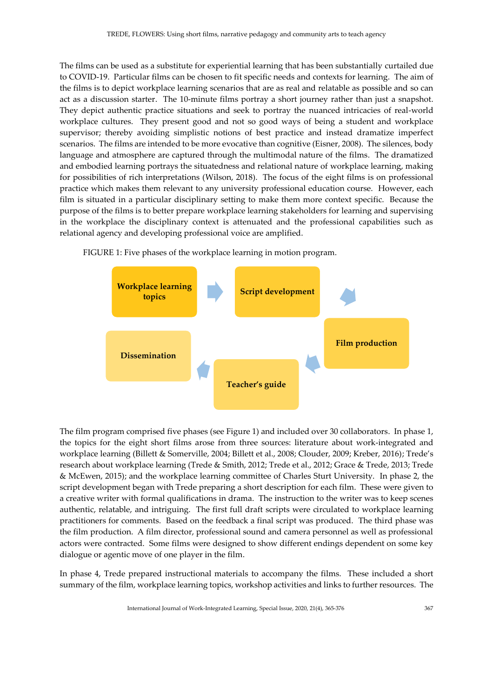The films can be used as a substitute for experiential learning that has been substantially curtailed due to COVID-19. Particular films can be chosen to fit specific needs and contexts for learning. The aim of the films is to depict workplace learning scenarios that are as real and relatable as possible and so can act as a discussion starter. The 10-minute films portray a short journey rather than just a snapshot. They depict authentic practice situations and seek to portray the nuanced intricacies of real-world workplace cultures. They present good and not so good ways of being a student and workplace supervisor; thereby avoiding simplistic notions of best practice and instead dramatize imperfect scenarios. The films are intended to be more evocative than cognitive (Eisner, 2008). The silences, body language and atmosphere are captured through the multimodal nature of the films. The dramatized and embodied learning portrays the situatedness and relational nature of workplace learning, making for possibilities of rich interpretations (Wilson, 2018). The focus of the eight films is on professional practice which makes them relevant to any university professional education course. However, each film is situated in a particular disciplinary setting to make them more context specific. Because the purpose of the films is to better prepare workplace learning stakeholders for learning and supervising in the workplace the disciplinary context is attenuated and the professional capabilities such as relational agency and developing professional voice are amplified.

FIGURE 1: Five phases of the workplace learning in motion program.



The film program comprised five phases (see Figure 1) and included over 30 collaborators. In phase 1, the topics for the eight short films arose from three sources: literature about work-integrated and workplace learning (Billett & Somerville, 2004; Billett et al., 2008; Clouder, 2009; Kreber, 2016); Trede's research about workplace learning (Trede & Smith, 2012; Trede et al., 2012; Grace & Trede, 2013; Trede & McEwen, 2015); and the workplace learning committee of Charles Sturt University. In phase 2, the script development began with Trede preparing a short description for each film. These were given to a creative writer with formal qualifications in drama. The instruction to the writer was to keep scenes authentic, relatable, and intriguing. The first full draft scripts were circulated to workplace learning practitioners for comments. Based on the feedback a final script was produced. The third phase was the film production. A film director, professional sound and camera personnel as well as professional actors were contracted. Some films were designed to show different endings dependent on some key dialogue or agentic move of one player in the film.

In phase 4, Trede prepared instructional materials to accompany the films. These included a short summary of the film, workplace learning topics, workshop activities and links to further resources. The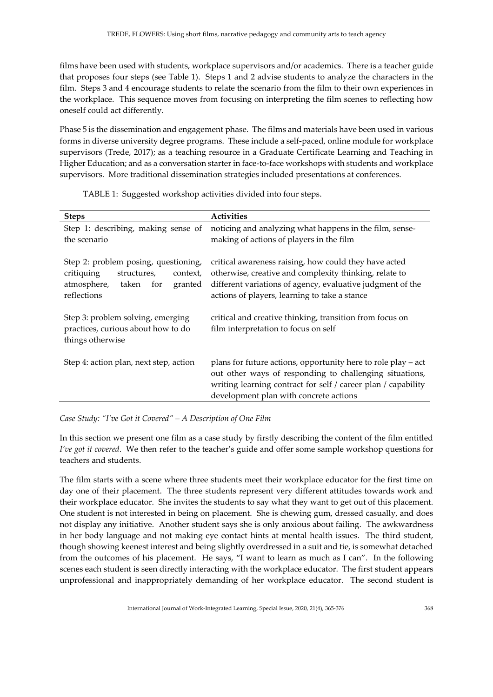films have been used with students, workplace supervisors and/or academics. There is a teacher guide that proposes four steps (see Table 1). Steps 1 and 2 advise students to analyze the characters in the film. Steps 3 and 4 encourage students to relate the scenario from the film to their own experiences in the workplace. This sequence moves from focusing on interpreting the film scenes to reflecting how oneself could act differently.

Phase 5 is the dissemination and engagement phase. The films and materials have been used in various forms in diverse university degree programs. These include a self-paced, online module for workplace supervisors (Trede, 2017); as a teaching resource in a Graduate Certificate Learning and Teaching in Higher Education; and as a conversation starter in face-to-face workshops with students and workplace supervisors. More traditional dissemination strategies included presentations at conferences.

|  |  |  | TABLE 1: Suggested workshop activities divided into four steps. |  |
|--|--|--|-----------------------------------------------------------------|--|
|  |  |  |                                                                 |  |

| <b>Steps</b>                                                                                                                        | <b>Activities</b>                                                                                                                                                                                                                     |  |  |
|-------------------------------------------------------------------------------------------------------------------------------------|---------------------------------------------------------------------------------------------------------------------------------------------------------------------------------------------------------------------------------------|--|--|
| Step 1: describing, making sense of<br>the scenario                                                                                 | noticing and analyzing what happens in the film, sense-<br>making of actions of players in the film                                                                                                                                   |  |  |
| Step 2: problem posing, questioning,<br>critiquing<br>structures,<br>context,<br>atmosphere, taken<br>for<br>granted<br>reflections | critical awareness raising, how could they have acted<br>otherwise, creative and complexity thinking, relate to<br>different variations of agency, evaluative judgment of the<br>actions of players, learning to take a stance        |  |  |
| Step 3: problem solving, emerging<br>practices, curious about how to do<br>things otherwise                                         | critical and creative thinking, transition from focus on<br>film interpretation to focus on self                                                                                                                                      |  |  |
| Step 4: action plan, next step, action                                                                                              | plans for future actions, opportunity here to role play $-$ act<br>out other ways of responding to challenging situations,<br>writing learning contract for self / career plan / capability<br>development plan with concrete actions |  |  |

*Case Study: "I've Got it Covered" – A Description of One Film*

In this section we present one film as a case study by firstly describing the content of the film entitled *I've got it covered*. We then refer to the teacher's guide and offer some sample workshop questions for teachers and students.

The film starts with a scene where three students meet their workplace educator for the first time on day one of their placement. The three students represent very different attitudes towards work and their workplace educator. She invites the students to say what they want to get out of this placement. One student is not interested in being on placement. She is chewing gum, dressed casually, and does not display any initiative. Another student says she is only anxious about failing. The awkwardness in her body language and not making eye contact hints at mental health issues. The third student, though showing keenest interest and being slightly overdressed in a suit and tie, is somewhat detached from the outcomes of his placement. He says, "I want to learn as much as I can". In the following scenes each student is seen directly interacting with the workplace educator. The first student appears unprofessional and inappropriately demanding of her workplace educator. The second student is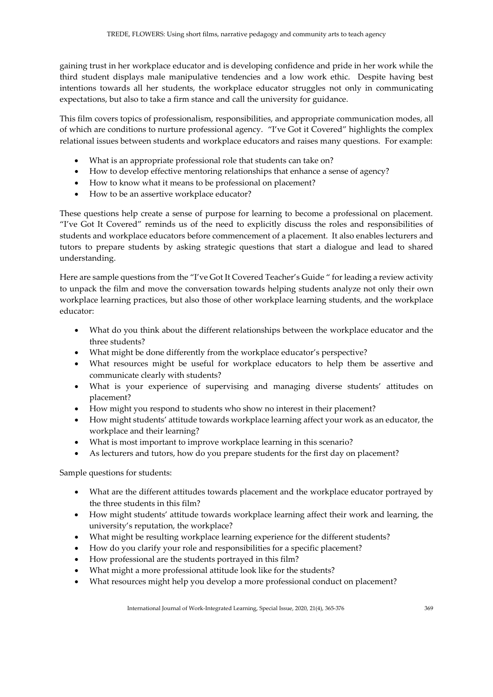gaining trust in her workplace educator and is developing confidence and pride in her work while the third student displays male manipulative tendencies and a low work ethic. Despite having best intentions towards all her students, the workplace educator struggles not only in communicating expectations, but also to take a firm stance and call the university for guidance.

This film covers topics of professionalism, responsibilities, and appropriate communication modes, all of which are conditions to nurture professional agency. "I've Got it Covered" highlights the complex relational issues between students and workplace educators and raises many questions. For example:

- What is an appropriate professional role that students can take on?
- How to develop effective mentoring relationships that enhance a sense of agency?
- How to know what it means to be professional on placement?
- How to be an assertive workplace educator?

These questions help create a sense of purpose for learning to become a professional on placement. "I've Got It Covered" reminds us of the need to explicitly discuss the roles and responsibilities of students and workplace educators before commencement of a placement. It also enables lecturers and tutors to prepare students by asking strategic questions that start a dialogue and lead to shared understanding.

Here are sample questions from the "I've Got It Covered Teacher's Guide " for leading a review activity to unpack the film and move the conversation towards helping students analyze not only their own workplace learning practices, but also those of other workplace learning students, and the workplace educator:

- What do you think about the different relationships between the workplace educator and the three students?
- What might be done differently from the workplace educator's perspective?
- What resources might be useful for workplace educators to help them be assertive and communicate clearly with students?
- What is your experience of supervising and managing diverse students' attitudes on placement?
- How might you respond to students who show no interest in their placement?
- How might students' attitude towards workplace learning affect your work as an educator, the workplace and their learning?
- What is most important to improve workplace learning in this scenario?
- As lecturers and tutors, how do you prepare students for the first day on placement?

Sample questions for students:

- What are the different attitudes towards placement and the workplace educator portrayed by the three students in this film?
- How might students' attitude towards workplace learning affect their work and learning, the university's reputation, the workplace?
- What might be resulting workplace learning experience for the different students?
- How do you clarify your role and responsibilities for a specific placement?
- How professional are the students portrayed in this film?
- What might a more professional attitude look like for the students?
- What resources might help you develop a more professional conduct on placement?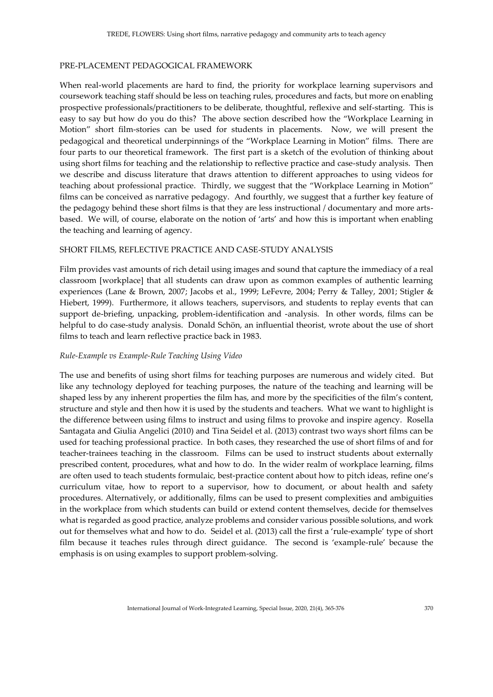#### PRE-PLACEMENT PEDAGOGICAL FRAMEWORK

When real-world placements are hard to find, the priority for workplace learning supervisors and coursework teaching staff should be less on teaching rules, procedures and facts, but more on enabling prospective professionals/practitioners to be deliberate, thoughtful, reflexive and self-starting. This is easy to say but how do you do this? The above section described how the "Workplace Learning in Motion" short film-stories can be used for students in placements. Now, we will present the pedagogical and theoretical underpinnings of the "Workplace Learning in Motion" films. There are four parts to our theoretical framework. The first part is a sketch of the evolution of thinking about using short films for teaching and the relationship to reflective practice and case-study analysis. Then we describe and discuss literature that draws attention to different approaches to using videos for teaching about professional practice. Thirdly, we suggest that the "Workplace Learning in Motion" films can be conceived as narrative pedagogy. And fourthly, we suggest that a further key feature of the pedagogy behind these short films is that they are less instructional / documentary and more artsbased. We will, of course, elaborate on the notion of 'arts' and how this is important when enabling the teaching and learning of agency.

#### SHORT FILMS, REFLECTIVE PRACTICE AND CASE-STUDY ANALYSIS

Film provides vast amounts of rich detail using images and sound that capture the immediacy of a real classroom [workplace] that all students can draw upon as common examples of authentic learning experiences (Lane & Brown, 2007; Jacobs et al., 1999; LeFevre, 2004; Perry & Talley, 2001; Stigler & Hiebert, 1999). Furthermore, it allows teachers, supervisors, and students to replay events that can support de-briefing, unpacking, problem-identification and -analysis. In other words, films can be helpful to do case-study analysis. Donald Schön, an influential theorist, wrote about the use of short films to teach and learn reflective practice back in 1983.

#### *Rule-Example vs Example-Rule Teaching Using Video*

The use and benefits of using short films for teaching purposes are numerous and widely cited. But like any technology deployed for teaching purposes, the nature of the teaching and learning will be shaped less by any inherent properties the film has, and more by the specificities of the film's content, structure and style and then how it is used by the students and teachers. What we want to highlight is the difference between using films to instruct and using films to provoke and inspire agency. Rosella Santagata and Giulia Angelici (2010) and Tina Seidel et al. (2013) contrast two ways short films can be used for teaching professional practice. In both cases, they researched the use of short films of and for teacher-trainees teaching in the classroom. Films can be used to instruct students about externally prescribed content, procedures, what and how to do. In the wider realm of workplace learning, films are often used to teach students formulaic, best-practice content about how to pitch ideas, refine one's curriculum vitae, how to report to a supervisor, how to document, or about health and safety procedures. Alternatively, or additionally, films can be used to present complexities and ambiguities in the workplace from which students can build or extend content themselves, decide for themselves what is regarded as good practice, analyze problems and consider various possible solutions, and work out for themselves what and how to do. Seidel et al. (2013) call the first a 'rule-example' type of short film because it teaches rules through direct guidance. The second is 'example-rule' because the emphasis is on using examples to support problem-solving.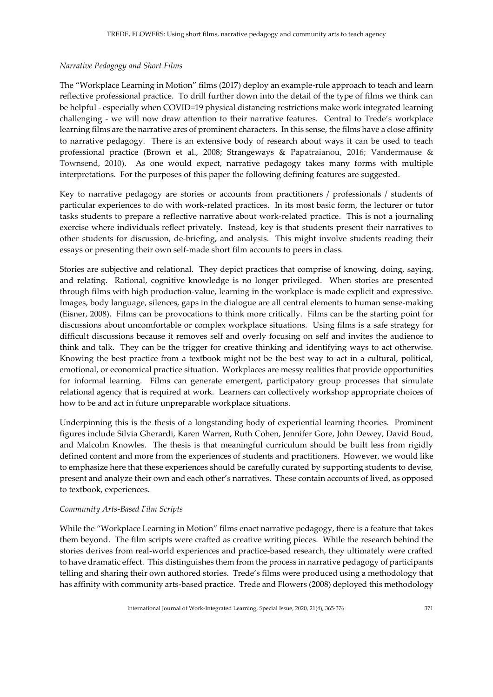## *Narrative Pedagogy and Short Films*

The "Workplace Learning in Motion" films (2017) deploy an example-rule approach to teach and learn reflective professional practice. To drill further down into the detail of the type of films we think can be helpful - especially when COVID=19 physical distancing restrictions make work integrated learning challenging - we will now draw attention to their narrative features. Central to Trede's workplace learning films are the narrative arcs of prominent characters. In this sense, the films have a close affinity to narrative pedagogy. There is an extensive body of research about ways it can be used to teach professional practice (Brown et al., 2008; Strangeways & Papatraianou, 2016; Vandermause & Townsend, 2010). As one would expect, narrative pedagogy takes many forms with multiple interpretations. For the purposes of this paper the following defining features are suggested.

Key to narrative pedagogy are stories or accounts from practitioners / professionals / students of particular experiences to do with work-related practices. In its most basic form, the lecturer or tutor tasks students to prepare a reflective narrative about work-related practice. This is not a journaling exercise where individuals reflect privately. Instead, key is that students present their narratives to other students for discussion, de-briefing, and analysis. This might involve students reading their essays or presenting their own self-made short film accounts to peers in class.

Stories are subjective and relational. They depict practices that comprise of knowing, doing, saying, and relating. Rational, cognitive knowledge is no longer privileged. When stories are presented through films with high production-value, learning in the workplace is made explicit and expressive. Images, body language, silences, gaps in the dialogue are all central elements to human sense-making (Eisner, 2008). Films can be provocations to think more critically. Films can be the starting point for discussions about uncomfortable or complex workplace situations. Using films is a safe strategy for difficult discussions because it removes self and overly focusing on self and invites the audience to think and talk. They can be the trigger for creative thinking and identifying ways to act otherwise. Knowing the best practice from a textbook might not be the best way to act in a cultural, political, emotional, or economical practice situation. Workplaces are messy realities that provide opportunities for informal learning. Films can generate emergent, participatory group processes that simulate relational agency that is required at work. Learners can collectively workshop appropriate choices of how to be and act in future unpreparable workplace situations.

Underpinning this is the thesis of a longstanding body of experiential learning theories. Prominent figures include Silvia Gherardi, Karen Warren, Ruth Cohen, Jennifer Gore, John Dewey, David Boud, and Malcolm Knowles. The thesis is that meaningful curriculum should be built less from rigidly defined content and more from the experiences of students and practitioners. However, we would like to emphasize here that these experiences should be carefully curated by supporting students to devise, present and analyze their own and each other's narratives. These contain accounts of lived, as opposed to textbook, experiences.

#### *Community Arts-Based Film Scripts*

While the "Workplace Learning in Motion" films enact narrative pedagogy, there is a feature that takes them beyond. The film scripts were crafted as creative writing pieces. While the research behind the stories derives from real-world experiences and practice-based research, they ultimately were crafted to have dramatic effect. This distinguishes them from the process in narrative pedagogy of participants telling and sharing their own authored stories. Trede's films were produced using a methodology that has affinity with community arts-based practice. Trede and Flowers (2008) deployed this methodology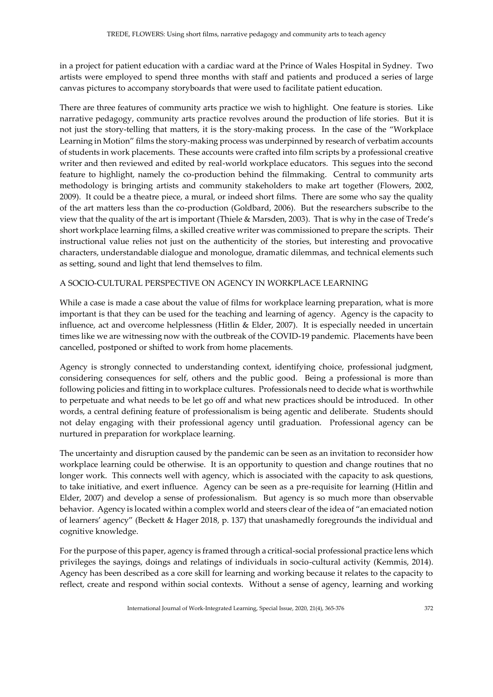in a project for patient education with a cardiac ward at the Prince of Wales Hospital in Sydney. Two artists were employed to spend three months with staff and patients and produced a series of large canvas pictures to accompany storyboards that were used to facilitate patient education.

There are three features of community arts practice we wish to highlight. One feature is stories. Like narrative pedagogy, community arts practice revolves around the production of life stories. But it is not just the story-telling that matters, it is the story-making process. In the case of the "Workplace Learning in Motion" films the story-making process was underpinned by research of verbatim accounts of students in work placements. These accounts were crafted into film scripts by a professional creative writer and then reviewed and edited by real-world workplace educators. This segues into the second feature to highlight, namely the co-production behind the filmmaking. Central to community arts methodology is bringing artists and community stakeholders to make art together (Flowers, 2002, 2009). It could be a theatre piece, a mural, or indeed short films. There are some who say the quality of the art matters less than the co-production (Goldbard, 2006). But the researchers subscribe to the view that the quality of the art is important (Thiele & Marsden, 2003). That is why in the case of Trede's short workplace learning films, a skilled creative writer was commissioned to prepare the scripts. Their instructional value relies not just on the authenticity of the stories, but interesting and provocative characters, understandable dialogue and monologue, dramatic dilemmas, and technical elements such as setting, sound and light that lend themselves to film.

## A SOCIO-CULTURAL PERSPECTIVE ON AGENCY IN WORKPLACE LEARNING

While a case is made a case about the value of films for workplace learning preparation, what is more important is that they can be used for the teaching and learning of agency. Agency is the capacity to influence, act and overcome helplessness (Hitlin & Elder, 2007). It is especially needed in uncertain times like we are witnessing now with the outbreak of the COVID-19 pandemic. Placements have been cancelled, postponed or shifted to work from home placements.

Agency is strongly connected to understanding context, identifying choice, professional judgment, considering consequences for self, others and the public good. Being a professional is more than following policies and fitting in to workplace cultures. Professionals need to decide what is worthwhile to perpetuate and what needs to be let go off and what new practices should be introduced. In other words, a central defining feature of professionalism is being agentic and deliberate. Students should not delay engaging with their professional agency until graduation. Professional agency can be nurtured in preparation for workplace learning.

The uncertainty and disruption caused by the pandemic can be seen as an invitation to reconsider how workplace learning could be otherwise. It is an opportunity to question and change routines that no longer work. This connects well with agency, which is associated with the capacity to ask questions, to take initiative, and exert influence. Agency can be seen as a pre-requisite for learning (Hitlin and Elder, 2007) and develop a sense of professionalism. But agency is so much more than observable behavior. Agency is located within a complex world and steers clear of the idea of "an emaciated notion of learners' agency" (Beckett & Hager 2018, p. 137) that unashamedly foregrounds the individual and cognitive knowledge.

For the purpose of this paper, agency is framed through a critical-social professional practice lens which privileges the sayings, doings and relatings of individuals in socio-cultural activity (Kemmis, 2014). Agency has been described as a core skill for learning and working because it relates to the capacity to reflect, create and respond within social contexts. Without a sense of agency, learning and working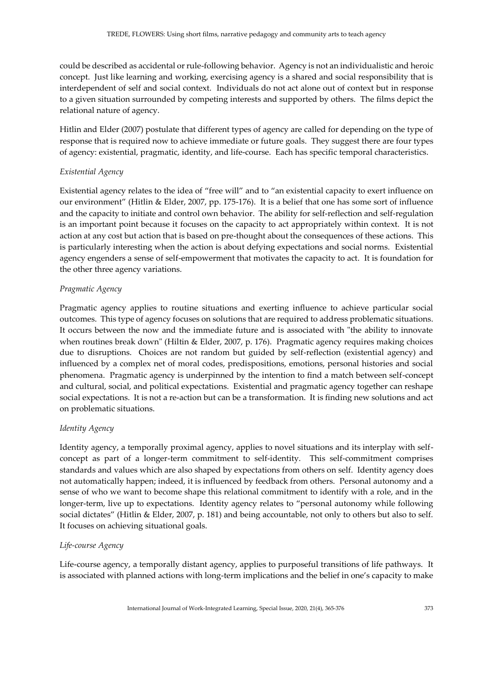could be described as accidental or rule-following behavior. Agency is not an individualistic and heroic concept. Just like learning and working, exercising agency is a shared and social responsibility that is interdependent of self and social context. Individuals do not act alone out of context but in response to a given situation surrounded by competing interests and supported by others. The films depict the relational nature of agency.

Hitlin and Elder (2007) postulate that different types of agency are called for depending on the type of response that is required now to achieve immediate or future goals. They suggest there are four types of agency: existential, pragmatic, identity, and life-course. Each has specific temporal characteristics.

## *Existential Agency*

Existential agency relates to the idea of "free will" and to "an existential capacity to exert influence on our environment" (Hitlin & Elder, 2007, pp. 175-176). It is a belief that one has some sort of influence and the capacity to initiate and control own behavior. The ability for self-reflection and self-regulation is an important point because it focuses on the capacity to act appropriately within context. It is not action at any cost but action that is based on pre-thought about the consequences of these actions. This is particularly interesting when the action is about defying expectations and social norms. Existential agency engenders a sense of self-empowerment that motivates the capacity to act. It is foundation for the other three agency variations.

## *Pragmatic Agency*

Pragmatic agency applies to routine situations and exerting influence to achieve particular social outcomes. This type of agency focuses on solutions that are required to address problematic situations. It occurs between the now and the immediate future and is associated with "the ability to innovate when routines break down" (Hiltin & Elder, 2007, p. 176). Pragmatic agency requires making choices due to disruptions. Choices are not random but guided by self-reflection (existential agency) and influenced by a complex net of moral codes, predispositions, emotions, personal histories and social phenomena. Pragmatic agency is underpinned by the intention to find a match between self-concept and cultural, social, and political expectations. Existential and pragmatic agency together can reshape social expectations. It is not a re-action but can be a transformation. It is finding new solutions and act on problematic situations.

#### *Identity Agency*

Identity agency, a temporally proximal agency, applies to novel situations and its interplay with selfconcept as part of a longer-term commitment to self-identity. This self-commitment comprises standards and values which are also shaped by expectations from others on self. Identity agency does not automatically happen; indeed, it is influenced by feedback from others. Personal autonomy and a sense of who we want to become shape this relational commitment to identify with a role, and in the longer-term, live up to expectations. Identity agency relates to "personal autonomy while following social dictates" (Hitlin & Elder, 2007, p. 181) and being accountable, not only to others but also to self. It focuses on achieving situational goals.

#### *Life-course Agency*

Life-course agency, a temporally distant agency, applies to purposeful transitions of life pathways. It is associated with planned actions with long-term implications and the belief in one's capacity to make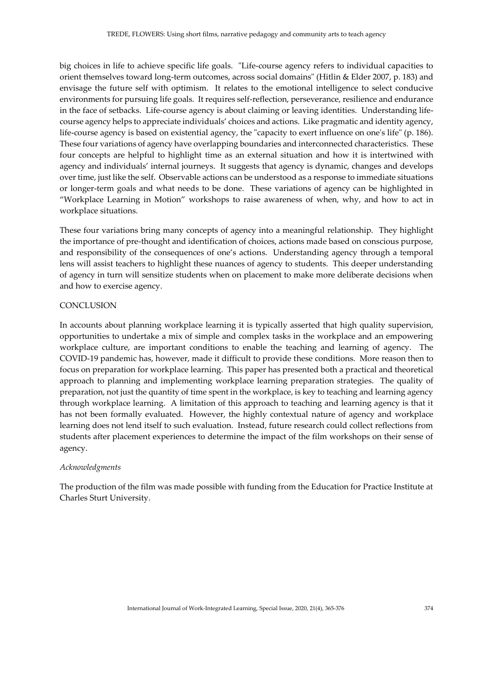big choices in life to achieve specific life goals. "Life-course agency refers to individual capacities to orient themselves toward long-term outcomes, across social domains" (Hitlin & Elder 2007, p. 183) and envisage the future self with optimism. It relates to the emotional intelligence to select conducive environments for pursuing life goals. It requires self-reflection, perseverance, resilience and endurance in the face of setbacks. Life-course agency is about claiming or leaving identities. Understanding lifecourse agency helps to appreciate individuals' choices and actions. Like pragmatic and identity agency, life-course agency is based on existential agency, the "capacity to exert influence on one's life" (p. 186). These four variations of agency have overlapping boundaries and interconnected characteristics. These four concepts are helpful to highlight time as an external situation and how it is intertwined with agency and individuals' internal journeys. It suggests that agency is dynamic, changes and develops over time, just like the self. Observable actions can be understood as a response to immediate situations or longer-term goals and what needs to be done. These variations of agency can be highlighted in "Workplace Learning in Motion" workshops to raise awareness of when, why, and how to act in workplace situations.

These four variations bring many concepts of agency into a meaningful relationship. They highlight the importance of pre-thought and identification of choices, actions made based on conscious purpose, and responsibility of the consequences of one's actions. Understanding agency through a temporal lens will assist teachers to highlight these nuances of agency to students. This deeper understanding of agency in turn will sensitize students when on placement to make more deliberate decisions when and how to exercise agency.

## **CONCLUSION**

In accounts about planning workplace learning it is typically asserted that high quality supervision, opportunities to undertake a mix of simple and complex tasks in the workplace and an empowering workplace culture, are important conditions to enable the teaching and learning of agency. The COVID-19 pandemic has, however, made it difficult to provide these conditions. More reason then to focus on preparation for workplace learning. This paper has presented both a practical and theoretical approach to planning and implementing workplace learning preparation strategies. The quality of preparation, not just the quantity of time spent in the workplace, is key to teaching and learning agency through workplace learning. A limitation of this approach to teaching and learning agency is that it has not been formally evaluated. However, the highly contextual nature of agency and workplace learning does not lend itself to such evaluation. Instead, future research could collect reflections from students after placement experiences to determine the impact of the film workshops on their sense of agency.

#### *Acknowledgments*

The production of the film was made possible with funding from the Education for Practice Institute at Charles Sturt University.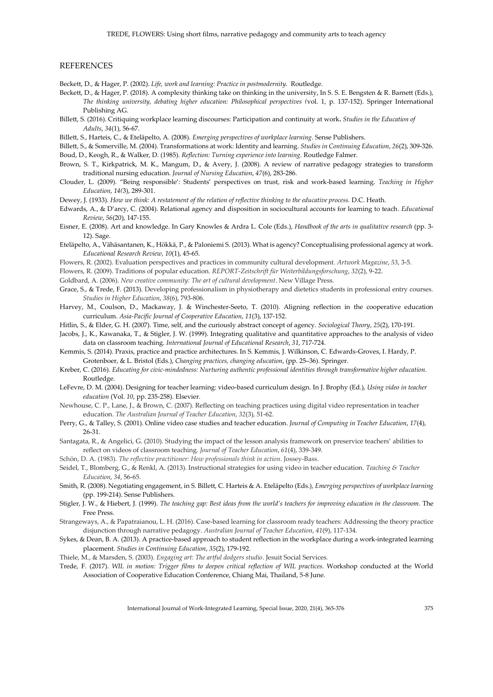#### **REFERENCES**

Beckett, D., & Hager, P. (2002). *Life, work and learning: Practice in postmodernity.* Routledge.

- Beckett, D., & Hager, P. (2018). A complexity thinking take on thinking in the university, In S. S. E. Bengsten & R. Barnett (Eds.), *The thinking university, debating higher education: Philosophical perspectives (*vol. 1, p. 137-152). Springer International Publishing AG.
- Billett, S. (2016). Critiquing workplace learning discourses: Participation and continuity at work**.** *Studies in the Education of Adults*, *34*(1), 56-67.
- Billett, S., Harteis, C., & Eteläpelto, A. (2008). *Emerging perspectives of workplace learning*. Sense Publishers.
- Billett, S., & Somerville, M. (2004). Transformations at work: Identity and learning. *Studies in Continuing Education*, *26*(2), 309-326.

Boud, D., Keogh, R., & Walker, D. (1985). *Reflection: Turning experience into learning.* Routledge Falmer.

- Brown, S. T., Kirkpatrick, M. K., Mangum, D., & Avery, J. (2008). A review of narrative pedagogy strategies to transform traditional nursing education. *Journal of Nursing Education*, *47*(6), 283-286.
- Clouder, L. (2009). "Being responsible': Students' perspectives on trust, risk and work-based learning. *Teaching in Higher Education*, *14(*3), 289-301.

Dewey, J. (1933). *How we think: A restatement of the relation of reflective thinking to the educative process.* D.C. Heath.

- Edwards, A., & D'arcy, C. (2004). Relational agency and disposition in sociocultural accounts for learning to teach. *Educational Review*, *56*(20), 147-155.
- Eisner, E. (2008). Art and knowledge. In Gary Knowles & Ardra L. Cole (Eds.), *Handbook of the arts in qualitative research* (pp. 3- 12). Sage.
- Eteläpelto, A., Vähäsantanen, K., Hökkä, P., & Paloniemi S. (2013). What is agency? Conceptualising professional agency at work. *Educational Research Review, 10*(1), 45-65.
- Flowers, R. (2002). Evaluation perspectives and practices in community cultural development. *Artwork Magazine*, *53*, 3-5.
- Flowers, R. (2009). Traditions of popular education. *REPORT-Zeitschrift für Weiterbildungsforschung*, *32*(2), 9-22.
- Goldbard, A. (2006). *New creative community: The art of cultural development*. New Village Press.

Grace, S., & Trede, F. (2013). Developing professionalism in physiotherapy and dietetics students in professional entry courses. *Studies in Higher Education*, *38*(6), 793-806.

- Harvey, M., Coulson, D., Mackaway, J. & Winchester-Seeto, T. (2010). Aligning reflection in the cooperative education curriculum. *Asia-Pacific Journal of Cooperative Education*, *11*(3), 137-152.
- Hitlin, S., & Elder, G. H. (2007). Time, self, and the curiously abstract concept of agency. *Sociological Theory*, *25*(2), 170-191.
- Jacobs, J., K., Kawanaka, T., & Stigler, J. W. (1999). Integrating qualitative and quantitative approaches to the analysis of video data on classroom teaching. *International Journal of Educational Research*, *31*, 717-724.
- Kemmis, S. (2014). Praxis, practice and practice architectures. In S. Kemmis, J. Wilkinson, C. Edwards-Groves, I. Hardy, P. Grotenboer, & L. Bristol (Eds.), *Changing practices, changing education*, (pp. 25–36). Springer.
- Kreber, C. (2016). *Educating for civic-mindedness: Nurturing authentic professional identities through transformative higher education*. Routledge.
- LeFevre, D. M. (2004). Designing for teacher learning: video-based curriculum design. In J. Brophy (Ed.), *Using video in teacher education* (Vol. *10*, pp. 235-258). Elsevier.
- Newhouse, C. P., Lane, J., & Brown, C. (2007). Reflecting on teaching practices using digital video representation in teacher education. *The Australian Journal of Teacher Education*, *32*(3), 51-62.
- Perry, G., & Talley, S. (2001). Online video case studies and teacher education. *Journal of Computing in Teacher Education*, *17*(4), 26-31.
- Santagata, R., & Angelici, G. (2010). Studying the impact of the lesson analysis framework on preservice teachers' abilities to reflect on videos of classroom teaching. *Journal of Teacher Education*, *61*(4), 339-349.

Schön, D. A. (1983). *The reflective practitioner: How professionals think in action*. Jossey-Bass.

Seidel, T., Blomberg, G., & Renkl, A. (2013). Instructional strategies for using video in teacher education. *Teaching & Teacher Education*, *34*, 56-65.

- Smith, R. (2008). Negotiating engagement, in S. Billett, C. Harteis & A. Eteläpelto (Eds.), *Emerging perspectives of workplace learning* (pp. 199-214). Sense Publishers.
- Stigler, J. W., & Hiebert, J. (1999). *The teaching gap: Best ideas from the world's teachers for improving education in the classroom*. The Free Press.
- Strangeways, A., & Papatraianou, L. H. (2016). Case-based learning for classroom ready teachers: Addressing the theory practice disjunction through narrative pedagogy. *Australian Journal of Teacher Education*, *41*(9), 117-134.

Sykes, & Dean, B. A. (2013). A practice-based approach to student reflection in the workplace during a work-integrated learning placement. *Studies in Continuing Education*, *35*(2), 179-192.

- Thiele, M., & Marsden, S. (2003). *Engaging art: The artful dodgers studio*. Jesuit Social Services*.*
- Trede, F. (2017). *WIL in motion: Trigger films to deepen critical reflection of WIL practices*. Workshop conducted at the World Association of Cooperative Education Conference, Chiang Mai, Thailand, 5-8 June.